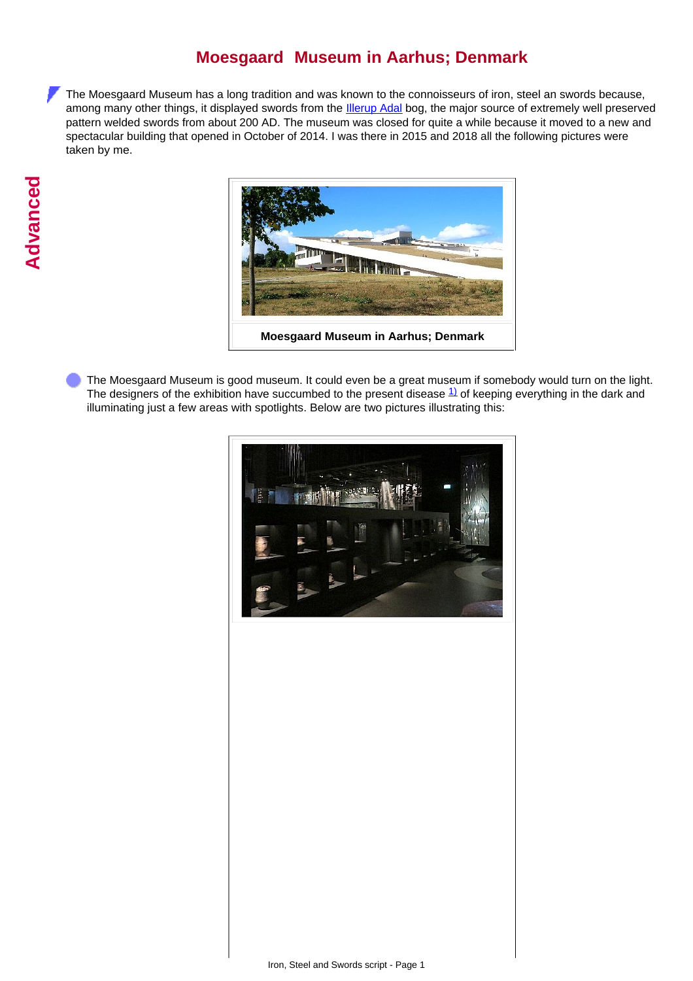## **Moesgaard Museum in Aarhus; Denmark**

The Moesgaard Museum has a long tradition and was known to the connoisseurs of iron, steel an swords because, among many other things, it displayed swords from the **Illerup Adal** bog, the major source of extremely well preserved pattern welded swords from about 200 AD. The museum was closed for quite a while because it moved to a new and spectacular building that opened in October of 2014. I was there in 2015 and 2018 all the following pictures were taken by me.



The Moesgaard Museum is good museum. It could even be a great museum if somebody would turn on the light. The designers of the exhibition have succumbed to the present disease  $\frac{1}{1}$  of keeping everything in the dark and illuminating just a few areas with spotlights. Below are two pictures illustrating this:

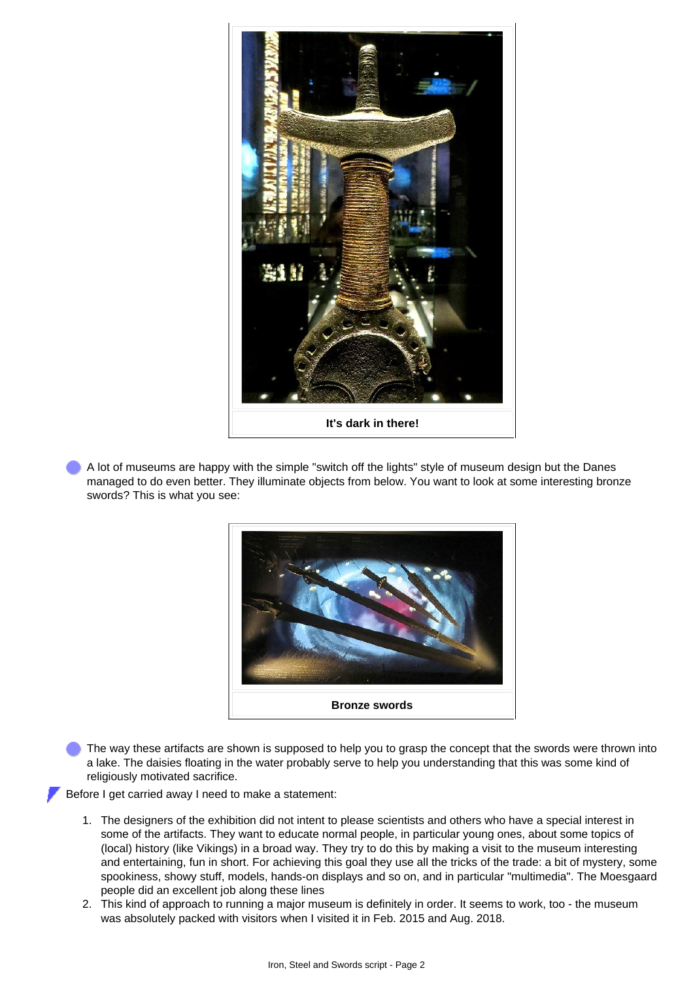

A lot of museums are happy with the simple "switch off the lights" style of museum design but the Danes managed to do even better. They illuminate objects from below. You want to look at some interesting bronze swords? This is what you see:



The way these artifacts are shown is supposed to help you to grasp the concept that the swords were thrown into a lake. The daisies floating in the water probably serve to help you understanding that this was some kind of religiously motivated sacrifice.

Before I get carried away I need to make a statement:

- 1. The designers of the exhibition did not intent to please scientists and others who have a special interest in some of the artifacts. They want to educate normal people, in particular young ones, about some topics of (local) history (like Vikings) in a broad way. They try to do this by making a visit to the museum interesting and entertaining, fun in short. For achieving this goal they use all the tricks of the trade: a bit of mystery, some spookiness, showy stuff, models, hands-on displays and so on, and in particular "multimedia". The Moesgaard people did an excellent job along these lines
- 2. This kind of approach to running a major museum is definitely in order. It seems to work, too the museum was absolutely packed with visitors when I visited it in Feb. 2015 and Aug. 2018.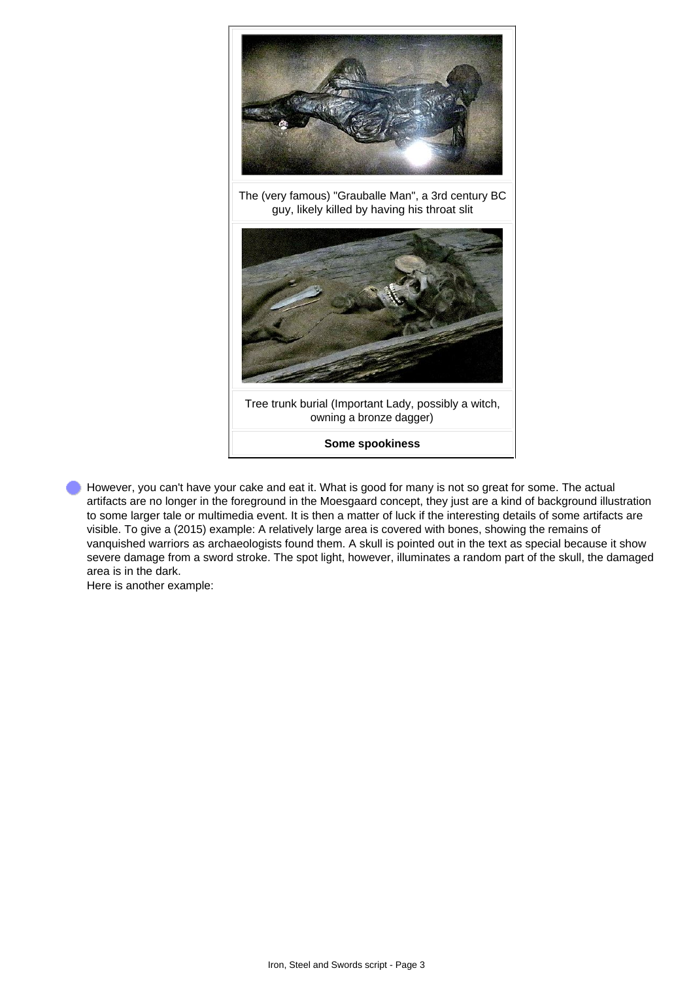

However, you can't have your cake and eat it. What is good for many is not so great for some. The actual artifacts are no longer in the foreground in the Moesgaard concept, they just are a kind of background illustration to some larger tale or multimedia event. It is then a matter of luck if the interesting details of some artifacts are visible. To give a (2015) example: A relatively large area is covered with bones, showing the remains of vanquished warriors as archaeologists found them. A skull is pointed out in the text as special because it show severe damage from a sword stroke. The spot light, however, illuminates a random part of the skull, the damaged area is in the dark.

Here is another example: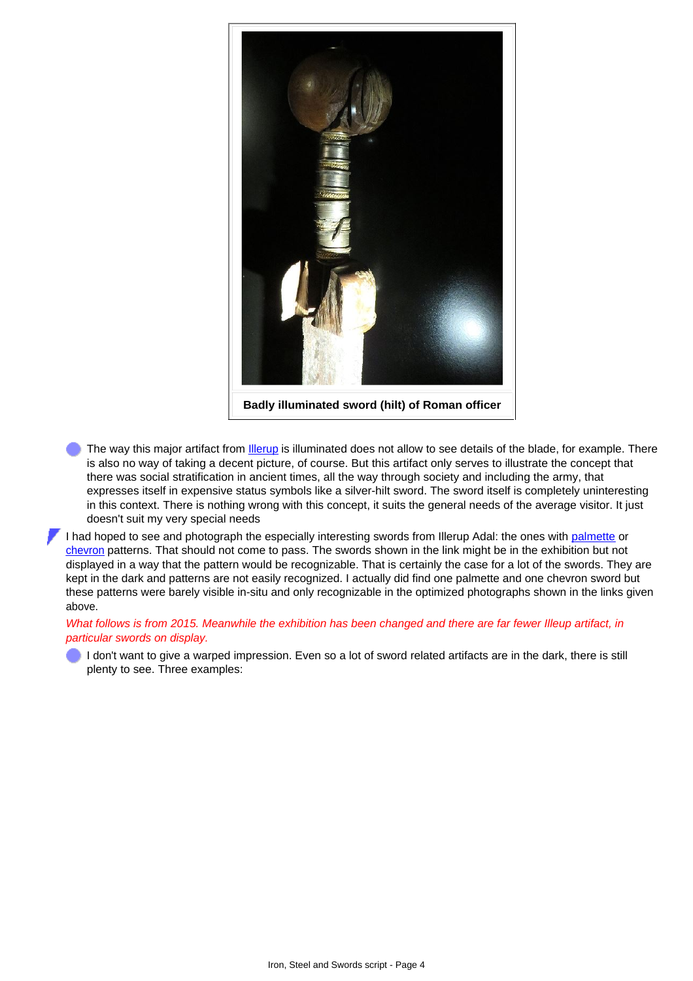

**Badly illuminated sword (hilt) of Roman officer**

The way this major artifact from *Illerup* is illuminated does not allow to see details of the blade, for example. There is also no way of taking a decent picture, of course. But this artifact only serves to illustrate the concept that there was social stratification in ancient times, all the way through society and including the army, that expresses itself in expensive status symbols like a silver-hilt sword. The sword itself is completely uninteresting in this context. There is nothing wrong with this concept, it suits the general needs of the average visitor. It just doesn't suit my very special needs

I had hoped to see and photograph the especially interesting swords from Illerup Adal: the ones with [palmette](http://www.tf.uni-kiel.de/matwis/amat/iss_dec_15_2021/kap_b/illustr/ib_3_4.html#palmette pattern) or [chevron](http://www.tf.uni-kiel.de/matwis/amat/iss_dec_15_2021/kap_b/illustr/ib_3_4.html#chevron pattern) patterns. That should not come to pass. The swords shown in the link might be in the exhibition but not displayed in a way that the pattern would be recognizable. That is certainly the case for a lot of the swords. They are kept in the dark and patterns are not easily recognized. I actually did find one palmette and one chevron sword but these patterns were barely visible in-situ and only recognizable in the optimized photographs shown in the links given above.

## *What follows is from 2015. Meanwhile the exhibition has been changed and there are far fewer Illeup artifact, in particular swords on display.*

I don't want to give a warped impression. Even so a lot of sword related artifacts are in the dark, there is still plenty to see. Three examples: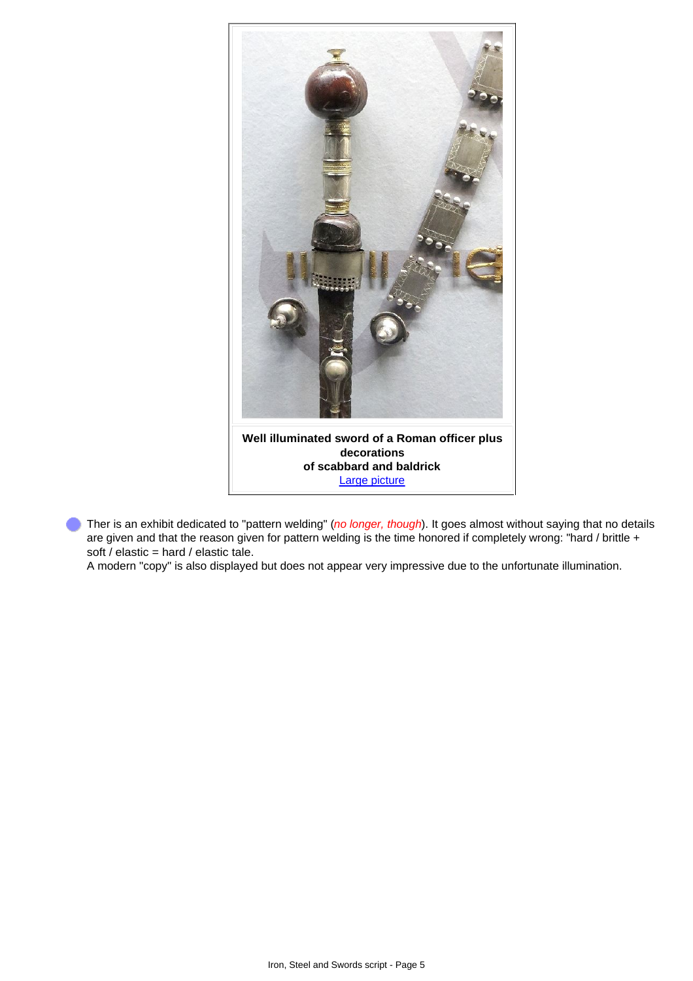

Ther is an exhibit dedicated to "pattern welding" (*no longer, though*). It goes almost without saying that no details are given and that the reason given for pattern welding is the time honored if completely wrong: "hard / brittle + soft / elastic = hard / elastic tale.

A modern "copy" is also displayed but does not appear very impressive due to the unfortunate illumination.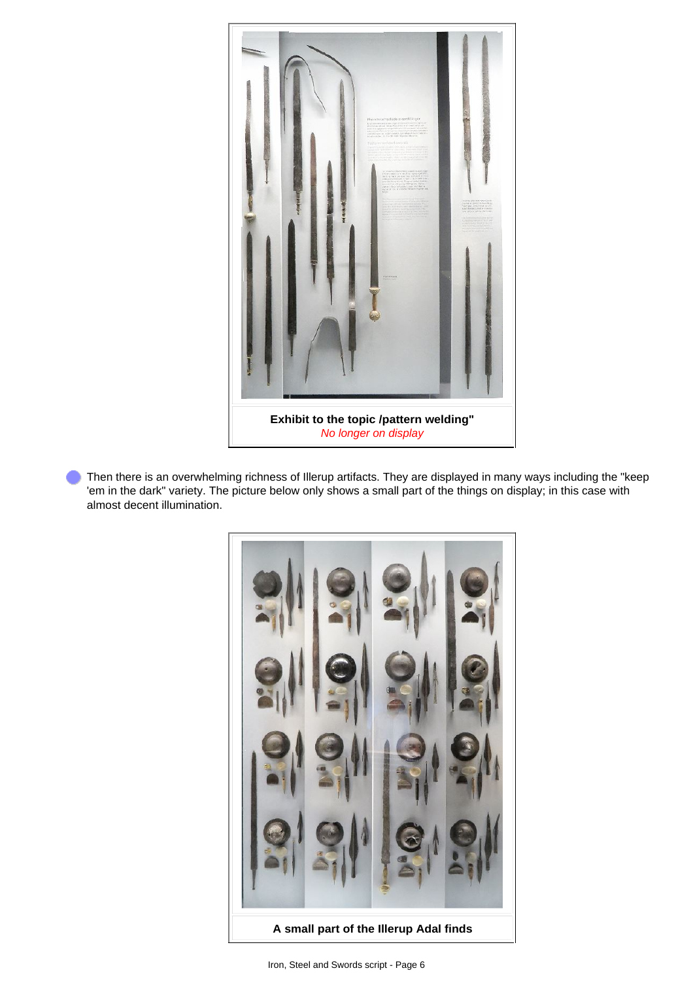

Then there is an overwhelming richness of Illerup artifacts. They are displayed in many ways including the "keep 'em in the dark" variety. The picture below only shows a small part of the things on display; in this case with almost decent illumination.